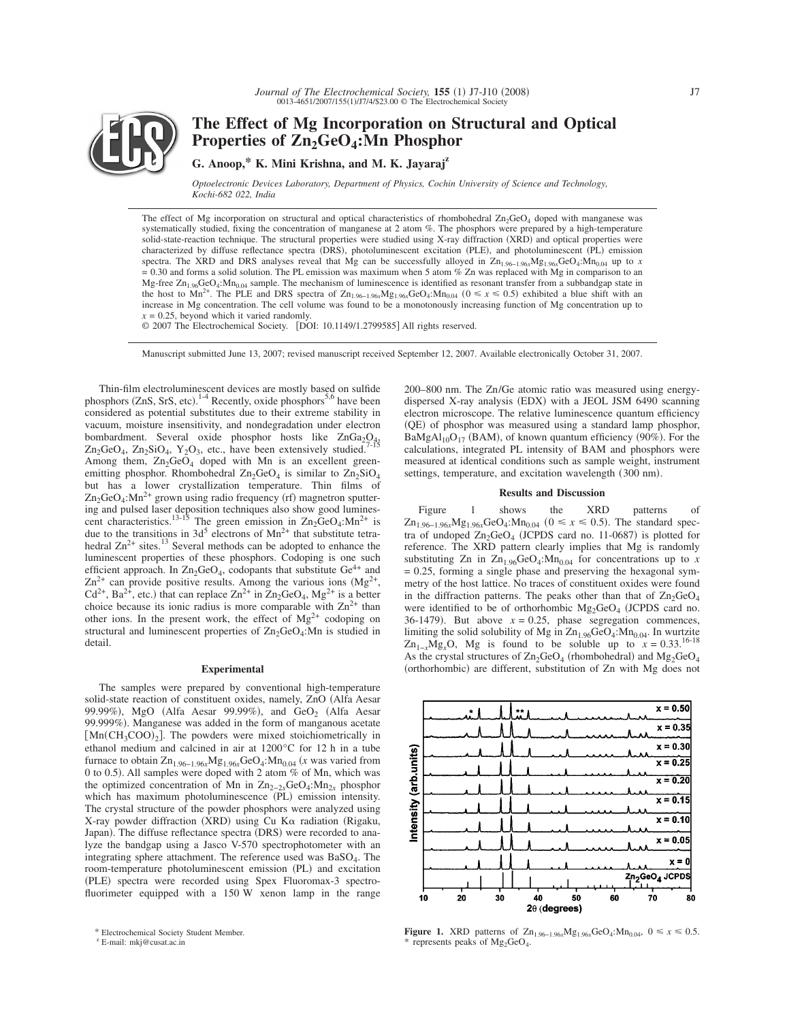

**The Effect of Mg Incorporation on Structural and Optical** Properties of  $\text{Zn}_2\text{GeO}_4$ : Mn Phosphor

# **G. Anoop,\* K. Mini Krishna, and M. K. Jayarajz**

*Optoelectronic Devices Laboratory, Department of Physics, Cochin University of Science and Technology, Kochi-682 022, India*

The effect of Mg incorporation on structural and optical characteristics of rhombohedral  $Zn_2GeO_4$  doped with manganese was systematically studied, fixing the concentration of manganese at 2 atom %. The phosphors were prepared by a high-temperature solid-state-reaction technique. The structural properties were studied using X-ray diffraction (XRD) and optical properties were characterized by diffuse reflectance spectra (DRS), photoluminescent excitation (PLE), and photoluminescent (PL) emission spectra. The XRD and DRS analyses reveal that Mg can be successfully alloyed in  $\text{Zn}_{1.96-1.96}M_{81.96x}\text{GeO}_4$ :Mn<sub>0.04</sub> up to *x*  $= 0.30$  and forms a solid solution. The PL emission was maximum when 5 atom % Zn was replaced with Mg in comparison to an Mg-free  $Zn_{1.96}GeO<sub>4</sub>:Mn_{0.04}$  sample. The mechanism of luminescence is identified as resonant transfer from a subbandgap state in the host to Mn<sup>2+</sup>. The PLE and DRS spectra of  $Zn_{1.96-1.96x}Mg_{1.96x}GeO_4:Mn_{0.04}$  ( $0 \le x \le 0.5$ ) exhibited a blue shift with an increase in Mg concentration. The cell volume was found to be a monotonously increasing function of Mg concentration up to  $x = 0.25$ , beyond which it varied randomly.

© 2007 The Electrochemical Society. [DOI: 10.1149/1.2799585] All rights reserved.

Manuscript submitted June 13, 2007; revised manuscript received September 12, 2007. Available electronically October 31, 2007.

Thin-film electroluminescent devices are mostly based on sulfide phosphors (ZnS, SrS, etc).<sup>1-4</sup> Recently, oxide phosphors<sup>5,6</sup> have been considered as potential substitutes due to their extreme stability in vacuum, moisture insensitivity, and nondegradation under electron bombardment. Several oxide phosphor hosts like  $ZnGa<sub>2</sub>O<sub>4</sub>$ ,  $Zn_2GeO_4$ ,  $Zn_2SiO_4$ ,  $Y_2O_3$ , etc., have been extensively studied.<sup>7</sup> Among them,  $Zn_2GeO_4$  doped with Mn is an excellent greenemitting phosphor. Rhombohedral  $Zn_2GeO_4$  is similar to  $Zn_2SiO_4$ but has a lower crystallization temperature. Thin films of  $\text{Zn}_2\text{GeO}_4$ :Mn<sup>2+</sup> grown using radio frequency (rf) magnetron sputtering and pulsed laser deposition techniques also show good lumines-<br>cent characteristics.<sup>13-15</sup> The green emission in  $\text{Zn}_2\text{GeO}_4:\text{Mn}^2$ <sup>+</sup> is due to the transitions in  $3d^5$  electrons of  $Mn^{2+}$  that substitute tetrahedral  $\text{Zn}^{2+}$  sites.<sup>13</sup> Several methods can be adopted to enhance the luminescent properties of these phosphors. Codoping is one such efficient approach. In  $Zn_2GeO_4$ , codopants that substitute  $Ge^{4+}$  and  $Zn^{2+}$  can provide positive results. Among the various ions  $(Mg^{2+})$ ,  $Cd^{2+}$ , Ba<sup>2+</sup>, etc.) that can replace  $Zn^{2+}$  in  $Zn_2GeO_4$ ,  $Mg^{2+}$  is a better choice because its ionic radius is more comparable with  $\text{Zn}^{2+}$  than other ions. In the present work, the effect of  $Mg^{2+}$  codoping on structural and luminescent properties of  $Zn_2GeO_4$ :Mn is studied in detail.

## **Experimental**

The samples were prepared by conventional high-temperature solid-state reaction of constituent oxides, namely, ZnO (Alfa Aesar 99.99%), MgO (Alfa Aesar 99.99%), and  $\text{GeO}_2$  (Alfa Aesar 99.999%). Manganese was added in the form of manganous acetate  $[Mn(CH_3COO)_2]$ . The powders were mixed stoichiometrically in ethanol medium and calcined in air at 1200°C for 12 h in a tube furnace to obtain  $\text{Zn}_{1.96-1.96x}\text{Mg}_{1.96x}\text{GeO}_4$ :M $\text{nn}_{0.04}$  (*x* was varied from 0 to 0.5). All samples were doped with 2 atom % of Mn, which was the optimized concentration of Mn in  $\text{Zn}_{2-2x}\text{GeO}_4:\text{Mn}_{2x}$  phosphor which has maximum photoluminescence (PL) emission intensity. The crystal structure of the powder phosphors were analyzed using X-ray powder diffraction (XRD) using Cu Κα radiation (Rigaku, Japan). The diffuse reflectance spectra (DRS) were recorded to analyze the bandgap using a Jasco V-570 spectrophotometer with an integrating sphere attachment. The reference used was BaSO<sub>4</sub>. The room-temperature photoluminescent emission (PL) and excitation (PLE) spectra were recorded using Spex Fluoromax-3 spectrofluorimeter equipped with a 150 W xenon lamp in the range

200–800 nm. The Zn/Ge atomic ratio was measured using energydispersed X-ray analysis (EDX) with a JEOL JSM 6490 scanning electron microscope. The relative luminescence quantum efficiency (QE) of phosphor was measured using a standard lamp phosphor,  $BaMgAl<sub>10</sub>O<sub>17</sub>$  (BAM), of known quantum efficiency (90%). For the calculations, integrated PL intensity of BAM and phosphors were measured at identical conditions such as sample weight, instrument settings, temperature, and excitation wavelength (300 nm).

# **Results and Discussion**

Figure 1 shows the XRD patterns of  $Zn_{1.96-1.96x}Mg_{1.96x}GeO_4$ : $Mn_{0.04}$  ( $0 \le x \le 0.5$ ). The standard spectra of undoped  $\text{Zn}_2\text{GeO}_4$  (JCPDS card no. 11-0687) is plotted for reference. The XRD pattern clearly implies that Mg is randomly substituting Zn in  $\text{Zn}_{1.96}\text{GeO}_4$ : Mn<sub>0.04</sub> for concentrations up to *x* = 0.25, forming a single phase and preserving the hexagonal symmetry of the host lattice. No traces of constituent oxides were found in the diffraction patterns. The peaks other than that of  $\text{Zn}_2\text{GeO}_4$ were identified to be of orthorhombic  $Mg_2GeO_4$  (JCPDS card no. 36-1479). But above  $x = 0.25$ , phase segregation commences, limiting the solid solubility of Mg in  $Zn_{1.96}GeO_4$ : $Mn_{0.04}$ . In wurtzite  $Zn_{1-x}Mg_xO$ , Mg is found to be soluble up to  $x = 0.33$ .<sup>16-18</sup> As the crystal structures of  $\text{Zn}_2\text{GeO}_4$  (rhombohedral) and  $\text{Mg}_2\text{GeO}_4$ (orthorhombic) are different, substitution of Zn with Mg does not



**Figure 1.** XRD patterns of Zn<sub>1.96−1.96*x*</sub>Mg<sub>1.96*x*</sub>GeO<sub>4</sub>:Mn<sub>0.04</sub>, 0 ≤ *x* ≤ 0.5. represents peaks of  $Mg_2GeO_4$ .

<sup>\*</sup> Electrochemical Society Student Member.

<sup>z</sup> E-mail: mkj@cusat.ac.in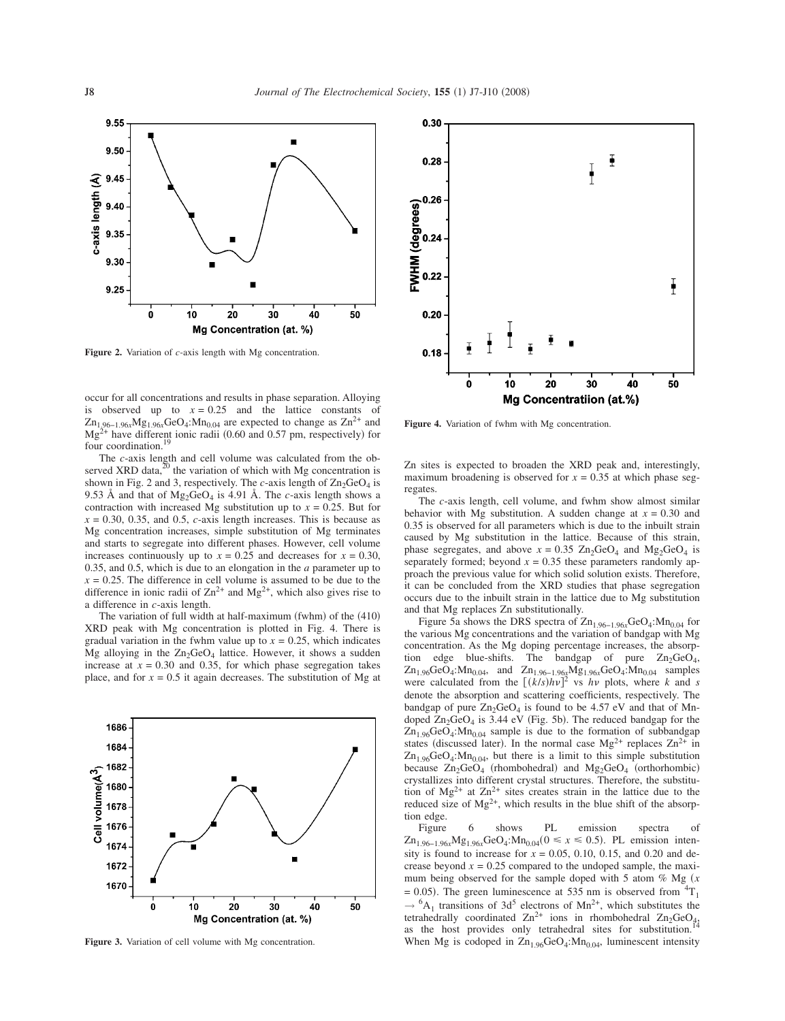

**Figure 2.** Variation of *c*-axis length with Mg concentration.

occur for all concentrations and results in phase separation. Alloying is observed up to  $x = 0.25$  and the lattice constants of Zn1.96−1.96*x*Mg1.96*x*GeO4:Mn0.04 are expected to change as Zn2+ and  $Mg^{2+}$  have different ionic radii (0.60 and 0.57 pm, respectively) for four coordination.<sup>19</sup>

The *c*-axis length and cell volume was calculated from the observed XRD data,<sup>20</sup> the variation of which with Mg concentration is shown in Fig. 2 and 3, respectively. The *c*-axis length of  $\text{Zn}_2\text{GeO}_4$  is 9.53 Å and that of  $Mg_2GeO_4$  is 4.91 Å. The *c*-axis length shows a contraction with increased Mg substitution up to  $x = 0.25$ . But for  $x = 0.30, 0.35,$  and 0.5, *c*-axis length increases. This is because as Mg concentration increases, simple substitution of Mg terminates and starts to segregate into different phases. However, cell volume increases continuously up to  $x = 0.25$  and decreases for  $x = 0.30$ , 0.35, and 0.5, which is due to an elongation in the *a* parameter up to  $x = 0.25$ . The difference in cell volume is assumed to be due to the difference in ionic radii of  $\text{Zn}^{2+}$  and  $\text{Mg}^{2+}$ , which also gives rise to a difference in *c*-axis length.

The variation of full width at half-maximum (fwhm) of the (410) XRD peak with Mg concentration is plotted in Fig. 4. There is gradual variation in the fwhm value up to  $x = 0.25$ , which indicates Mg alloying in the  $Zn_2GeO_4$  lattice. However, it shows a sudden increase at  $x = 0.30$  and 0.35, for which phase segregation takes place, and for  $x = 0.5$  it again decreases. The substitution of Mg at



Figure 3. Variation of cell volume with Mg concentration.



Figure 4. Variation of fwhm with Mg concentration.

Zn sites is expected to broaden the XRD peak and, interestingly, maximum broadening is observed for  $x = 0.35$  at which phase segregates.

The *c*-axis length, cell volume, and fwhm show almost similar behavior with Mg substitution. A sudden change at  $x = 0.30$  and 0.35 is observed for all parameters which is due to the inbuilt strain caused by Mg substitution in the lattice. Because of this strain, phase segregates, and above  $x = 0.35$  Zn<sub>2</sub>GeO<sub>4</sub> and Mg<sub>2</sub>GeO<sub>4</sub> is separately formed; beyond  $x = 0.35$  these parameters randomly approach the previous value for which solid solution exists. Therefore, it can be concluded from the XRD studies that phase segregation occurs due to the inbuilt strain in the lattice due to Mg substitution and that Mg replaces Zn substitutionally.

Figure 5a shows the DRS spectra of Zn1.96−1.96*x*GeO4:Mn0.04 for the various Mg concentrations and the variation of bandgap with Mg concentration. As the Mg doping percentage increases, the absorption edge blue-shifts. The bandgap of pure  $Zn_2GeO_4$ ,  $\text{Zn}_{1.96}\text{GeO}_4$ : $\text{Mn}_{0.04}$ , and  $\text{Zn}_{1.96-1.96}$ <sub>x</sub> $\text{Mg}_{1.96}$ <sub>x</sub>GeO<sub>4</sub>: $\text{Mn}_{0.04}$  samples were calculated from the  $[(k/s)hv]^2$  vs *hv* plots, where *k* and *s* denote the absorption and scattering coefficients, respectively. The bandgap of pure  $Zn_2GeO_4$  is found to be 4.57 eV and that of Mndoped  $\text{Zn}_2\text{GeO}_4$  is 3.44 eV (Fig. 5b). The reduced bandgap for the  $Zn_{1.96}GeO<sub>4</sub>:Mn_{0.04}$  sample is due to the formation of subbandgap states (discussed later). In the normal case  $Mg^{2+}$  replaces  $Zn^{2+}$  in  $Zn_{1.96}GeO_4$ : M $n_{0.04}$ , but there is a limit to this simple substitution because  $Zn_2GeO_4$  (rhombohedral) and  $Mg_2GeO_4$  (orthorhombic) crystallizes into different crystal structures. Therefore, the substitution of  $Mg^{2+}$  at  $Zn^{2+}$  sites creates strain in the lattice due to the reduced size of  $Mg^{2+}$ , which results in the blue shift of the absorption edge.

Figure 6 shows PL emission spectra of  $Zn_{1.96-1.96x}Mg_{1.96x}GeO<sub>4</sub>:Mn_{0.04}(0 ≤ x ≤ 0.5)$ . PL emission intensity is found to increase for  $x = 0.05, 0.10, 0.15,$  and 0.20 and decrease beyond  $x = 0.25$  compared to the undoped sample, the maximum being observed for the sample doped with 5 atom % Mg (x  $= 0.05$ ). The green luminescence at 535 nm is observed from  ${}^{4}T_{1}$  $\rightarrow$  <sup>6</sup>A<sub>1</sub> transitions of 3d<sup>5</sup> electrons of Mn<sup>2+</sup>, which substitutes the  $\rightarrow$  A<sub>1</sub> usualistically coordinated  $\text{Zn}^{2+}$  ions in rhombohedral  $\text{Zn}_2\text{GeO}_4$ , as the host provides only tetrahedral sites for substitution. When Mg is codoped in  $\text{Zn}_{1.96}\text{GeO}_4$ : M $\text{n}_{0.04}$ , luminescent intensity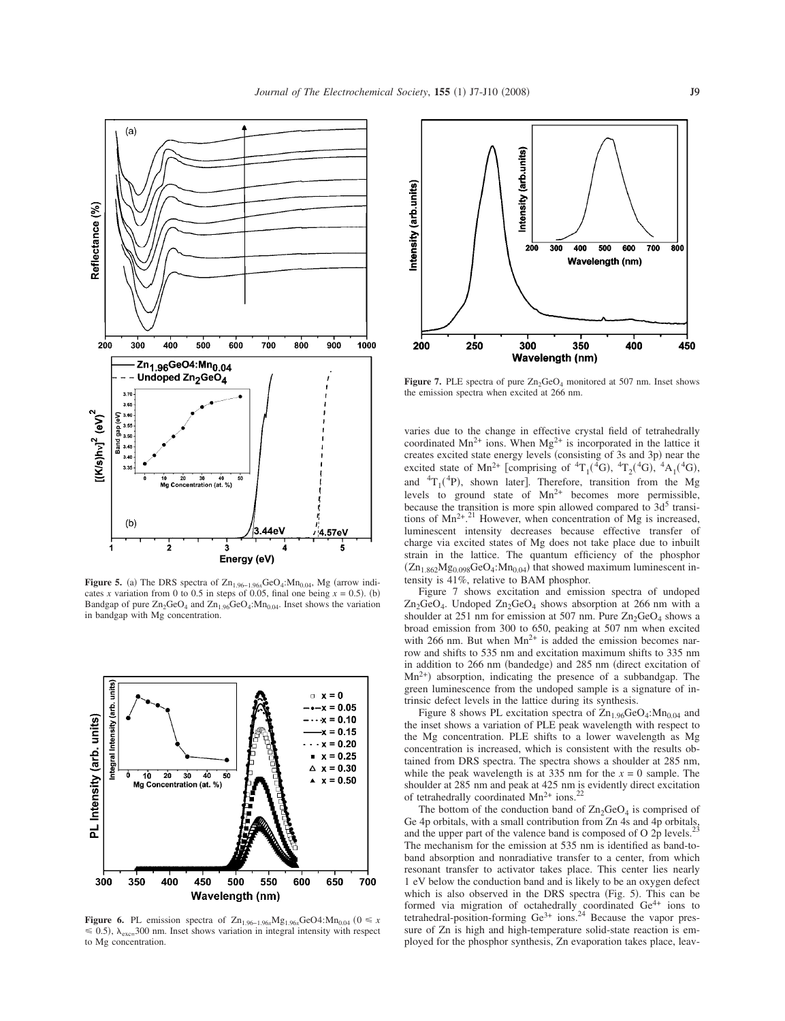

**Figure 5.** (a) The DRS spectra of  $Zn_{1.96-1.96x}$ GeO<sub>4</sub>:Mn<sub>0.04</sub>, Mg (arrow indicates *x* variation from 0 to 0.5 in steps of 0.05, final one being  $x = 0.5$ . (b) Bandgap of pure  $Zn_2GeO_4$  and  $Zn_{1.96}GeO_4$ : M $n_{0.04}$ . Inset shows the variation in bandgap with Mg concentration.



**Figure 6.** PL emission spectra of Zn<sub>1.96−1.96*x*Mg<sub>1.96*x*</sub>GeO4:Mn<sub>0.04</sub> (0 ≤ *x*</sub>  $\leq$  0.5),  $\lambda_{\text{exc}}$  300 nm. Inset shows variation in integral intensity with respect to Mg concentration.



**Figure 7.** PLE spectra of pure  $Zn_2GeO_4$  monitored at 507 nm. Inset shows the emission spectra when excited at 266 nm.

varies due to the change in effective crystal field of tetrahedrally coordinated  $Mn^{2+}$  ions. When  $Mg^{2+}$  is incorporated in the lattice it creates excited state energy levels (consisting of 3s and 3p) near the excited state of Mn<sup>2+</sup> [comprising of  ${}^{4}T_{1}({}^{4}G)$ ,  ${}^{4}T_{2}({}^{4}G)$ ,  ${}^{4}A_{1}({}^{4}G)$ , and  ${}^{4}T_{1}({}^{4}P)$ , shown later]. Therefore, transition from the Mg levels to ground state of  $Mn^{2+}$  becomes more permissible, because the transition is more spin allowed compared to  $3d<sup>5</sup>$  transitions of  $Mn^{2+}$ <sup>21</sup> However, when concentration of Mg is increased, luminescent intensity decreases because effective transfer of charge via excited states of Mg does not take place due to inbuilt strain in the lattice. The quantum efficiency of the phosphor  $(Zn_{1.862}Mg_{0.098}GeO_4:Mn_{0.04})$  that showed maximum luminescent intensity is 41%, relative to BAM phosphor.

Figure 7 shows excitation and emission spectra of undoped  $Zn_2GeO_4$ . Undoped  $Zn_2GeO_4$  shows absorption at 266 nm with a shoulder at 251 nm for emission at 507 nm. Pure  $Zn_2GeO_4$  shows a broad emission from 300 to 650, peaking at 507 nm when excited with 266 nm. But when  $Mn^{2+}$  is added the emission becomes narrow and shifts to 535 nm and excitation maximum shifts to 335 nm in addition to 266 nm (bandedge) and 285 nm (direct excitation of  $Mn^{2+}$ ) absorption, indicating the presence of a subbandgap. The green luminescence from the undoped sample is a signature of intrinsic defect levels in the lattice during its synthesis.

Figure 8 shows PL excitation spectra of  $\text{Zn}_{1.96}\text{GeO}_4$ : Mn<sub>0.04</sub> and the inset shows a variation of PLE peak wavelength with respect to the Mg concentration. PLE shifts to a lower wavelength as Mg concentration is increased, which is consistent with the results obtained from DRS spectra. The spectra shows a shoulder at 285 nm, while the peak wavelength is at 335 nm for the  $x = 0$  sample. The shoulder at 285 nm and peak at 425 nm is evidently direct excitation of tetrahedrally coordinated  $Mn^{2+}$  ions.<sup>2</sup>

The bottom of the conduction band of  $\text{Zn}_2\text{GeO}_4$  is comprised of Ge 4p orbitals, with a small contribution from Zn 4s and 4p orbitals, and the upper part of the valence band is composed of O 2p levels.<sup>2</sup> The mechanism for the emission at 535 nm is identified as band-toband absorption and nonradiative transfer to a center, from which resonant transfer to activator takes place. This center lies nearly 1 eV below the conduction band and is likely to be an oxygen defect which is also observed in the DRS spectra (Fig. 5). This can be formed via migration of octahedrally coordinated  $Ge^{4+}$  ions to tetrahedral-position-forming  $\text{Ge}^{3+}$  ions.<sup>24</sup> Because the vapor pressure of Zn is high and high-temperature solid-state reaction is employed for the phosphor synthesis, Zn evaporation takes place, leav-